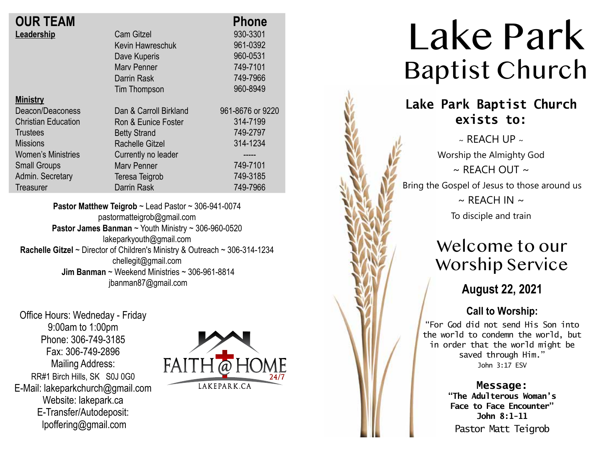| <b>OUR TEAM</b>            |                        | <b>Phone</b>     |
|----------------------------|------------------------|------------------|
| Leadership                 | <b>Cam Gitzel</b>      | 930-3301         |
|                            | Kevin Hawreschuk       | 961-0392         |
|                            | Dave Kuperis           | 960-0531         |
|                            | <b>Mary Penner</b>     | 749-7101         |
|                            | Darrin Rask            | 749-7966         |
|                            | Tim Thompson           | 960-8949         |
| <b>Ministry</b>            |                        |                  |
| Deacon/Deaconess           | Dan & Carroll Birkland | 961-8676 or 9220 |
| <b>Christian Education</b> | Ron & Eunice Foster    | 314-7199         |
| Trustees                   | <b>Betty Strand</b>    | 749-2797         |
| <b>Missions</b>            | Rachelle Gitzel        | 314-1234         |
| <b>Women's Ministries</b>  | Currently no leader    | -----            |
| <b>Small Groups</b>        | <b>Mary Penner</b>     | 749-7101         |
| Admin. Secretary           | Teresa Teigrob         | 749-3185         |
| <b>Treasurer</b>           | <b>Darrin Rask</b>     | 749-7966         |
|                            |                        |                  |

**Pastor Matthew Teigrob** ~ Lead Pastor ~ 306-941-0074 pastormatteigrob@gmail.com **Pastor James Banman** ~ Youth Ministry ~ 306-960-0520 lakeparkyouth@gmail.com **Rachelle Gitzel** ~ Director of Children's Ministry & Outreach ~ 306-314-1234 chellegit@gmail.com  **Jim Banman** ~ Weekend Ministries ~ 306-961-8814 jbanman87@gmail.com

Office Hours: Wedneday - Friday 9:00am to 1:00pm Phone: 306-749-3185 Fax: 306-749-2896 Mailing Address: RR#1 Birch Hills, SK S0J 0G0 E-Mail: lakeparkchurch@gmail.com Website: lakepark.ca E-Transfer/Autodeposit: lpoffering@gmail.com



# Lake Park Baptist Church

## **Lake Park Baptist Church exists to:**

 $\sim$  REACH UP  $\sim$ Worship the Almighty God  $\sim$  RFACH OUT  $\sim$ Bring the Gospel of Jesus to those around us  $\sim$  REACH IN  $\sim$ 

To disciple and train

# Welcome to our Worship Service

**August 22, 2021**

## **Call to Worship:**

"For God did not send His Son into the world to condemn the world, but in order that the world might be saved through Him." John 3:17 ESV

#### **Message:**

**"The Adulterous Woman's Face to Face Encounter" John 8:1-11** Pastor Matt Teigrob